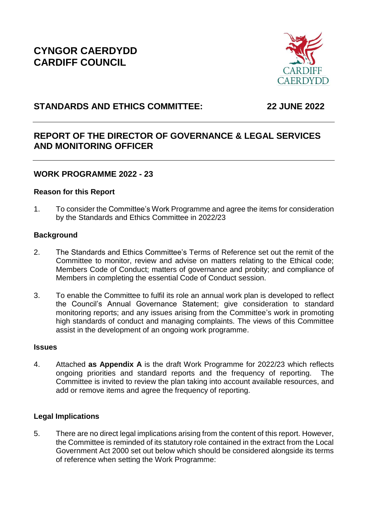**CYNGOR CAERDYDD CARDIFF COUNCIL** 



# **STANDARDS AND ETHICS COMMITTEE: 22 JUNE 2022**

# **REPORT OF THE DIRECTOR OF GOVERNANCE & LEGAL SERVICES AND MONITORING OFFICER**

# **WORK PROGRAMME 2022 - 23**

## **Reason for this Report**

1. To consider the Committee's Work Programme and agree the items for consideration by the Standards and Ethics Committee in 2022/23

# **Background**

- 2. The Standards and Ethics Committee's Terms of Reference set out the remit of the Committee to monitor, review and advise on matters relating to the Ethical code; Members Code of Conduct; matters of governance and probity; and compliance of Members in completing the essential Code of Conduct session.
- 3. To enable the Committee to fulfil its role an annual work plan is developed to reflect the Council's Annual Governance Statement; give consideration to standard monitoring reports; and any issues arising from the Committee's work in promoting high standards of conduct and managing complaints. The views of this Committee assist in the development of an ongoing work programme.

### **Issues**

4. Attached **as Appendix A** is the draft Work Programme for 2022/23 which reflects ongoing priorities and standard reports and the frequency of reporting. The Committee is invited to review the plan taking into account available resources, and add or remove items and agree the frequency of reporting.

# **Legal Implications**

5. There are no direct legal implications arising from the content of this report. However, the Committee is reminded of its statutory role contained in the extract from the Local Government Act 2000 set out below which should be considered alongside its terms of reference when setting the Work Programme: